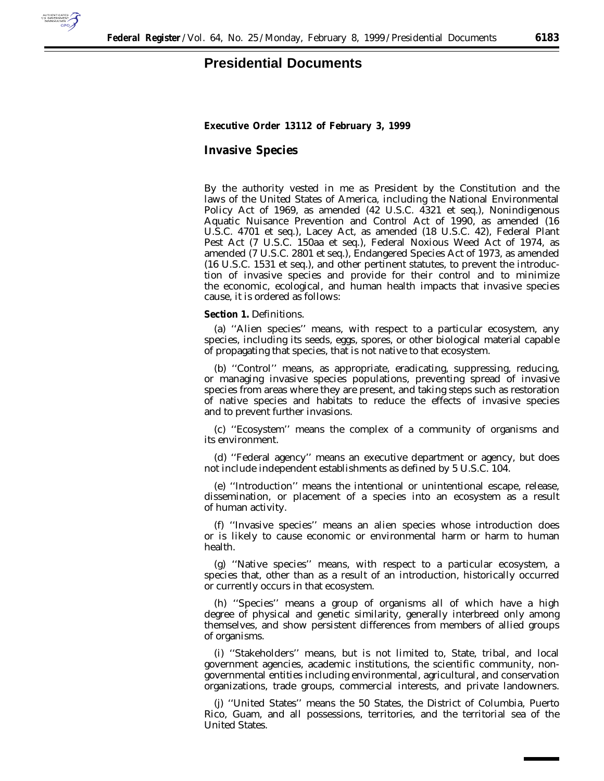

## **Executive Order 13112 of February 3, 1999**

## **Invasive Species**

By the authority vested in me as President by the Constitution and the laws of the United States of America, including the National Environmental Policy Act of 1969, as amended (42 U.S.C. 4321 *et seq*.), Nonindigenous Aquatic Nuisance Prevention and Control Act of 1990, as amended (16 U.S.C. 4701 *et seq*.), Lacey Act, as amended (18 U.S.C. 42), Federal Plant Pest Act (7 U.S.C. 150aa *et seq*.), Federal Noxious Weed Act of 1974, as amended (7 U.S.C. 2801 *et seq*.), Endangered Species Act of 1973, as amended (16 U.S.C. 1531 *et seq*.), and other pertinent statutes, to prevent the introduction of invasive species and provide for their control and to minimize the economic, ecological, and human health impacts that invasive species cause, it is ordered as follows:

## **Section 1.** *Definitions.*

(a) ''Alien species'' means, with respect to a particular ecosystem, any species, including its seeds, eggs, spores, or other biological material capable of propagating that species, that is not native to that ecosystem.

(b) ''Control'' means, as appropriate, eradicating, suppressing, reducing, or managing invasive species populations, preventing spread of invasive species from areas where they are present, and taking steps such as restoration of native species and habitats to reduce the effects of invasive species and to prevent further invasions.

(c) ''Ecosystem'' means the complex of a community of organisms and its environment.

(d) ''Federal agency'' means an executive department or agency, but does not include independent establishments as defined by 5 U.S.C. 104.

(e) ''Introduction'' means the intentional or unintentional escape, release, dissemination, or placement of a species into an ecosystem as a result of human activity.

(f) ''Invasive species'' means an alien species whose introduction does or is likely to cause economic or environmental harm or harm to human health.

(g) ''Native species'' means, with respect to a particular ecosystem, a species that, other than as a result of an introduction, historically occurred or currently occurs in that ecosystem.

(h) ''Species'' means a group of organisms all of which have a high degree of physical and genetic similarity, generally interbreed only among themselves, and show persistent differences from members of allied groups of organisms.

(i) ''Stakeholders'' means, but is not limited to, State, tribal, and local government agencies, academic institutions, the scientific community, nongovernmental entities including environmental, agricultural, and conservation organizations, trade groups, commercial interests, and private landowners.

(j) ''United States'' means the 50 States, the District of Columbia, Puerto Rico, Guam, and all possessions, territories, and the territorial sea of the United States.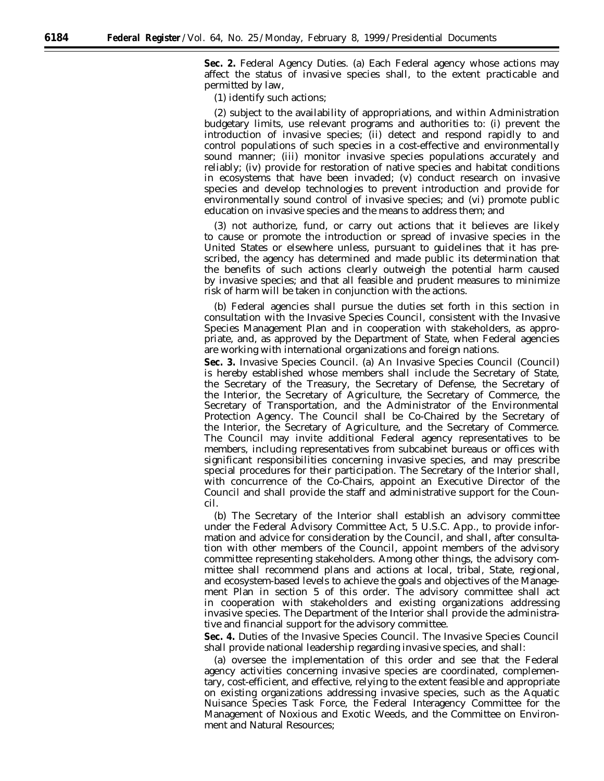**Sec. 2.** *Federal Agency Duties*. (a) Each Federal agency whose actions may affect the status of invasive species shall, to the extent practicable and permitted by law,

(1) identify such actions;

(2) subject to the availability of appropriations, and within Administration budgetary limits, use relevant programs and authorities to: (i) prevent the introduction of invasive species; (ii) detect and respond rapidly to and control populations of such species in a cost-effective and environmentally sound manner; (iii) monitor invasive species populations accurately and reliably; (iv) provide for restoration of native species and habitat conditions in ecosystems that have been invaded; (v) conduct research on invasive species and develop technologies to prevent introduction and provide for environmentally sound control of invasive species; and (vi) promote public education on invasive species and the means to address them; and

(3) not authorize, fund, or carry out actions that it believes are likely to cause or promote the introduction or spread of invasive species in the United States or elsewhere unless, pursuant to guidelines that it has prescribed, the agency has determined and made public its determination that the benefits of such actions clearly outweigh the potential harm caused by invasive species; and that all feasible and prudent measures to minimize risk of harm will be taken in conjunction with the actions.

(b) Federal agencies shall pursue the duties set forth in this section in consultation with the Invasive Species Council, consistent with the Invasive Species Management Plan and in cooperation with stakeholders, as appropriate, and, as approved by the Department of State, when Federal agencies are working with international organizations and foreign nations.

**Sec. 3.** *Invasive Species Council*. (a) An Invasive Species Council (Council) is hereby established whose members shall include the Secretary of State, the Secretary of the Treasury, the Secretary of Defense, the Secretary of the Interior, the Secretary of Agriculture, the Secretary of Commerce, the Secretary of Transportation, and the Administrator of the Environmental Protection Agency. The Council shall be Co-Chaired by the Secretary of the Interior, the Secretary of Agriculture, and the Secretary of Commerce. The Council may invite additional Federal agency representatives to be members, including representatives from subcabinet bureaus or offices with significant responsibilities concerning invasive species, and may prescribe special procedures for their participation. The Secretary of the Interior shall, with concurrence of the Co-Chairs, appoint an Executive Director of the Council and shall provide the staff and administrative support for the Council.

(b) The Secretary of the Interior shall establish an advisory committee under the Federal Advisory Committee Act, 5 U.S.C. App., to provide information and advice for consideration by the Council, and shall, after consultation with other members of the Council, appoint members of the advisory committee representing stakeholders. Among other things, the advisory committee shall recommend plans and actions at local, tribal, State, regional, and ecosystem-based levels to achieve the goals and objectives of the Management Plan in section 5 of this order. The advisory committee shall act in cooperation with stakeholders and existing organizations addressing invasive species. The Department of the Interior shall provide the administrative and financial support for the advisory committee.

**Sec. 4.** *Duties of the Invasive Species Council*. The Invasive Species Council shall provide national leadership regarding invasive species, and shall:

(a) oversee the implementation of this order and see that the Federal agency activities concerning invasive species are coordinated, complementary, cost-efficient, and effective, relying to the extent feasible and appropriate on existing organizations addressing invasive species, such as the Aquatic Nuisance Species Task Force, the Federal Interagency Committee for the Management of Noxious and Exotic Weeds, and the Committee on Environment and Natural Resources;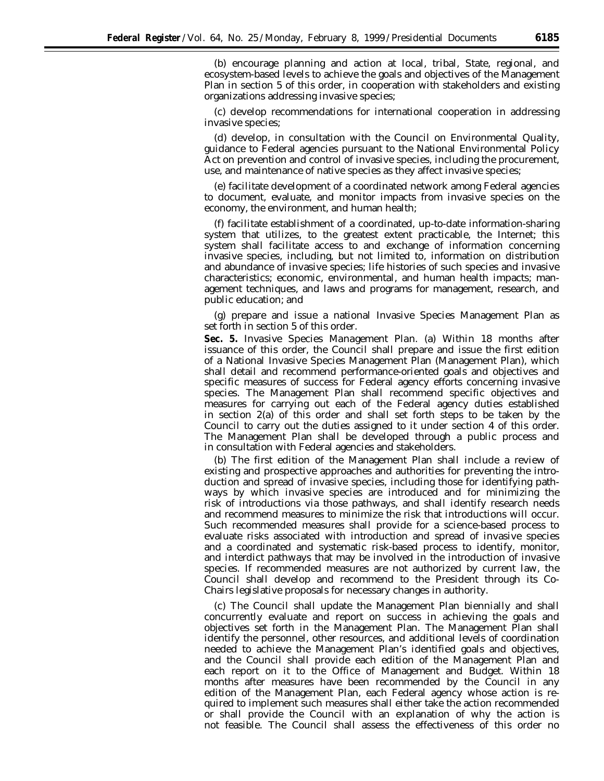(b) encourage planning and action at local, tribal, State, regional, and ecosystem-based levels to achieve the goals and objectives of the Management Plan in section 5 of this order, in cooperation with stakeholders and existing organizations addressing invasive species;

(c) develop recommendations for international cooperation in addressing invasive species;

(d) develop, in consultation with the Council on Environmental Quality, guidance to Federal agencies pursuant to the National Environmental Policy Act on prevention and control of invasive species, including the procurement, use, and maintenance of native species as they affect invasive species;

(e) facilitate development of a coordinated network among Federal agencies to document, evaluate, and monitor impacts from invasive species on the economy, the environment, and human health;

(f) facilitate establishment of a coordinated, up-to-date information-sharing system that utilizes, to the greatest extent practicable, the Internet; this system shall facilitate access to and exchange of information concerning invasive species, including, but not limited to, information on distribution and abundance of invasive species; life histories of such species and invasive characteristics; economic, environmental, and human health impacts; management techniques, and laws and programs for management, research, and public education; and

(g) prepare and issue a national Invasive Species Management Plan as set forth in section 5 of this order.

**Sec. 5.** *Invasive Species Management Plan*. (a) Within 18 months after issuance of this order, the Council shall prepare and issue the first edition of a National Invasive Species Management Plan (Management Plan), which shall detail and recommend performance-oriented goals and objectives and specific measures of success for Federal agency efforts concerning invasive species. The Management Plan shall recommend specific objectives and measures for carrying out each of the Federal agency duties established in section 2(a) of this order and shall set forth steps to be taken by the Council to carry out the duties assigned to it under section 4 of this order. The Management Plan shall be developed through a public process and in consultation with Federal agencies and stakeholders.

(b) The first edition of the Management Plan shall include a review of existing and prospective approaches and authorities for preventing the introduction and spread of invasive species, including those for identifying pathways by which invasive species are introduced and for minimizing the risk of introductions via those pathways, and shall identify research needs and recommend measures to minimize the risk that introductions will occur. Such recommended measures shall provide for a science-based process to evaluate risks associated with introduction and spread of invasive species and a coordinated and systematic risk-based process to identify, monitor, and interdict pathways that may be involved in the introduction of invasive species. If recommended measures are not authorized by current law, the Council shall develop and recommend to the President through its Co-Chairs legislative proposals for necessary changes in authority.

(c) The Council shall update the Management Plan biennially and shall concurrently evaluate and report on success in achieving the goals and objectives set forth in the Management Plan. The Management Plan shall identify the personnel, other resources, and additional levels of coordination needed to achieve the Management Plan's identified goals and objectives, and the Council shall provide each edition of the Management Plan and each report on it to the Office of Management and Budget. Within 18 months after measures have been recommended by the Council in any edition of the Management Plan, each Federal agency whose action is required to implement such measures shall either take the action recommended or shall provide the Council with an explanation of why the action is not feasible. The Council shall assess the effectiveness of this order no